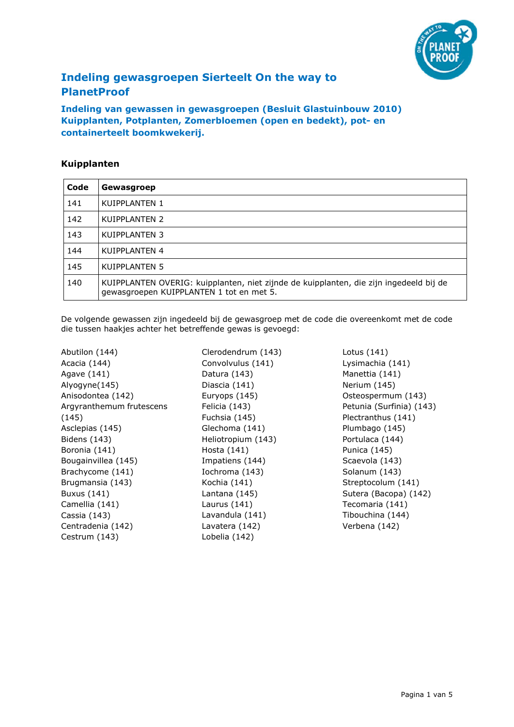

# Indeling gewasgroepen Sierteelt On the way to PlanetProof

Indeling van gewassen in gewasgroepen (Besluit Glastuinbouw 2010) Kuipplanten, Potplanten, Zomerbloemen (open en bedekt), pot- en containerteelt boomkwekerij.

#### Kuipplanten

| Code | Gewasgroep                                                                                                                         |
|------|------------------------------------------------------------------------------------------------------------------------------------|
| 141  | KUIPPLANTEN 1                                                                                                                      |
| 142  | KUIPPLANTEN 2                                                                                                                      |
| 143  | KUIPPLANTEN 3                                                                                                                      |
| 144  | KUIPPLANTEN 4                                                                                                                      |
| 145  | KUIPPLANTEN 5                                                                                                                      |
| 140  | KUIPPLANTEN OVERIG: kuipplanten, niet zijnde de kuipplanten, die zijn ingedeeld bij de<br>gewasgroepen KUIPPLANTEN 1 tot en met 5. |

De volgende gewassen zijn ingedeeld bij de gewasgroep met de code die overeenkomt met de code die tussen haakjes achter het betreffende gewas is gevoegd:

Abutilon (144) Acacia (144) Agave (141) Alyogyne(145) Anisodontea (142) Argyranthemum frutescens (145) Asclepias (145) Bidens (143) Boronia (141) Bougainvillea (145) Brachycome (141) Brugmansia (143) Buxus (141) Camellia (141) Cassia (143) Centradenia (142) Cestrum (143)

Clerodendrum (143) Convolvulus (141) Datura (143) Diascia (141) Euryops (145) Felicia (143) Fuchsia (145) Glechoma (141) Heliotropium (143) Hosta (141) Impatiens (144) Iochroma (143) Kochia (141) Lantana (145) Laurus (141) Lavandula (141) Lavatera (142) Lobelia (142)

Lotus (141) Lysimachia (141) Manettia (141) Nerium (145) Osteospermum (143) Petunia (Surfinia) (143) Plectranthus (141) Plumbago (145) Portulaca (144) Punica (145) Scaevola (143) Solanum (143) Streptocolum (141) Sutera (Bacopa) (142) Tecomaria (141) Tibouchina (144) Verbena (142)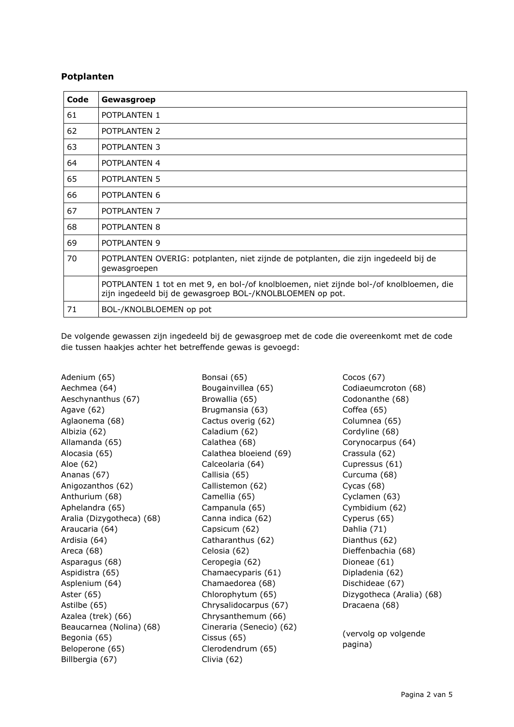#### Potplanten

| Code | Gewasgroep                                                                                                                                           |
|------|------------------------------------------------------------------------------------------------------------------------------------------------------|
| 61   | POTPLANTEN 1                                                                                                                                         |
| 62   | POTPLANTEN 2                                                                                                                                         |
| 63   | POTPLANTEN 3                                                                                                                                         |
| 64   | POTPLANTEN 4                                                                                                                                         |
| 65   | POTPLANTEN 5                                                                                                                                         |
| 66   | POTPLANTEN 6                                                                                                                                         |
| 67   | POTPLANTEN 7                                                                                                                                         |
| 68   | POTPLANTEN 8                                                                                                                                         |
| 69   | POTPLANTEN 9                                                                                                                                         |
| 70   | POTPLANTEN OVERIG: potplanten, niet zijnde de potplanten, die zijn ingedeeld bij de<br>gewasgroepen                                                  |
|      | POTPLANTEN 1 tot en met 9, en bol-/of knolbloemen, niet zijnde bol-/of knolbloemen, die<br>zijn ingedeeld bij de gewasgroep BOL-/KNOLBLOEMEN op pot. |
| 71   | BOL-/KNOLBLOEMEN op pot                                                                                                                              |

De volgende gewassen zijn ingedeeld bij de gewasgroep met de code die overeenkomt met de code die tussen haakjes achter het betreffende gewas is gevoegd:

Adenium (65) Aechmea (64) Aeschynanthus (67) Agave (62) Aglaonema (68) Albizia (62) Allamanda (65) Alocasia (65) Aloe (62) Ananas (67) Anigozanthos (62) Anthurium (68) Aphelandra (65) Aralia (Dizygotheca) (68) Araucaria (64) Ardisia (64) Areca (68) Asparagus (68) Aspidistra (65) Asplenium (64) Aster (65) Astilbe (65) Azalea (trek) (66) Beaucarnea (Nolina) (68) Begonia (65) Beloperone (65) Billbergia (67)

Bonsai (65) Bougainvillea (65) Browallia (65) Brugmansia (63) Cactus overig (62) Caladium (62) Calathea (68) Calathea bloeiend (69) Calceolaria (64) Callisia (65) Callistemon (62) Camellia (65) Campanula (65) Canna indica (62) Capsicum (62) Catharanthus (62) Celosia (62) Ceropegia (62) Chamaecyparis (61) Chamaedorea (68) Chlorophytum (65) Chrysalidocarpus (67) Chrysanthemum (66) Cineraria (Senecio) (62) Cissus (65) Clerodendrum (65) Clivia (62)

Cocos (67) Codiaeumcroton (68) Codonanthe (68) Coffea (65) Columnea (65) Cordyline (68) Corynocarpus (64) Crassula (62) Cupressus (61) Curcuma (68) Cycas (68) Cyclamen (63) Cymbidium (62) Cyperus (65) Dahlia (71) Dianthus (62) Dieffenbachia (68) Dioneae (61) Dipladenia (62) Dischideae (67) Dizygotheca (Aralia) (68) Dracaena (68) (vervolg op volgende

pagina)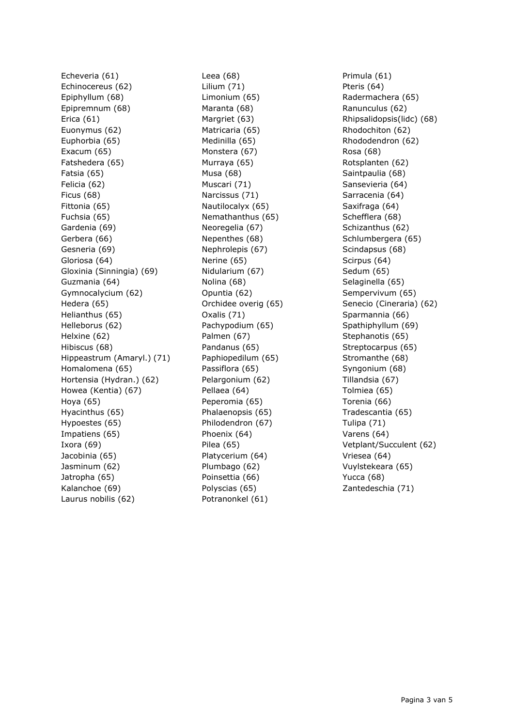Echeveria (61) Echinocereus (62) Epiphyllum (68) Epipremnum (68) Erica (61) Euonymus (62) Euphorbia (65) Exacum (65) Fatshedera (65) Fatsia (65) Felicia (62) Ficus (68) Fittonia (65) Fuchsia (65) Gardenia (69) Gerbera (66) Gesneria (69) Gloriosa (64) Gloxinia (Sinningia) (69) Guzmania (64) Gymnocalycium (62) Hedera (65) Helianthus (65) Helleborus (62) Helxine (62) Hibiscus (68) Hippeastrum (Amaryl.) (71) Homalomena (65) Hortensia (Hydran.) (62) Howea (Kentia) (67) Hoya (65) Hyacinthus (65) Hypoestes (65) Impatiens (65) Ixora (69) Jacobinia (65) Jasminum (62) Jatropha (65) Kalanchoe (69) Laurus nobilis (62)

Leea (68) Lilium (71) Limonium (65) Maranta (68) Margriet (63) Matricaria (65) Medinilla (65) Monstera (67) Murraya (65) Musa (68) Muscari (71) Narcissus (71) Nautilocalyx (65) Nemathanthus (65) Neoregelia (67) Nepenthes (68) Nephrolepis (67) Nerine (65) Nidularium (67) Nolina (68) Opuntia (62) Orchidee overig (65) Oxalis (71) Pachypodium (65) Palmen (67) Pandanus (65) Paphiopedilum (65) Passiflora (65) Pelargonium (62) Pellaea (64) Peperomia (65) Phalaenopsis (65) Philodendron (67) Phoenix (64) Pilea (65) Platycerium (64) Plumbago (62) Poinsettia (66) Polyscias (65) Potranonkel (61)

Primula (61) Pteris (64) Radermachera (65) Ranunculus (62) Rhipsalidopsis(lidc) (68) Rhodochiton (62) Rhododendron (62) Rosa (68) Rotsplanten (62) Saintpaulia (68) Sansevieria (64) Sarracenia (64) Saxifraga (64) Schefflera (68) Schizanthus (62) Schlumbergera (65) Scindapsus (68) Scirpus (64) Sedum (65) Selaginella (65) Sempervivum (65) Senecio (Cineraria) (62) Sparmannia (66) Spathiphyllum (69) Stephanotis (65) Streptocarpus (65) Stromanthe (68) Syngonium (68) Tillandsia (67) Tolmiea (65) Torenia (66) Tradescantia (65) Tulipa (71) Varens (64) Vetplant/Succulent (62) Vriesea (64) Vuylstekeara (65) Yucca (68) Zantedeschia (71)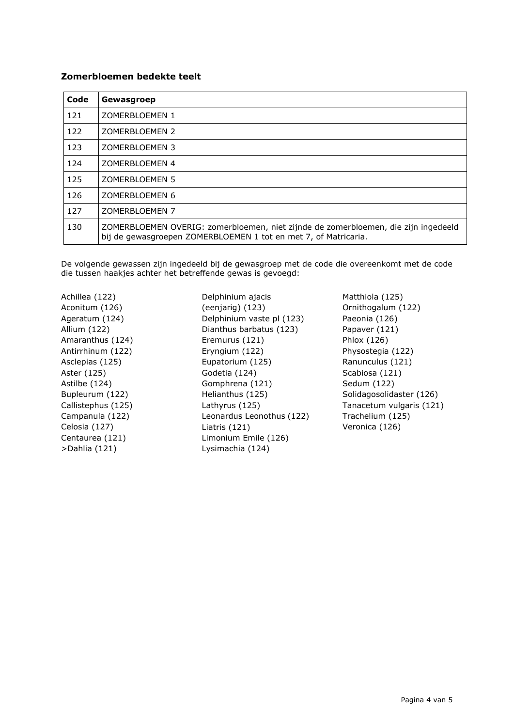#### Zomerbloemen bedekte teelt

| Code | Gewasgroep                                                                                                                                            |
|------|-------------------------------------------------------------------------------------------------------------------------------------------------------|
| 121  | ZOMERBLOEMEN 1                                                                                                                                        |
| 122  | ZOMERBLOEMEN 2                                                                                                                                        |
| 123  | ZOMERBLOEMEN 3                                                                                                                                        |
| 124  | ZOMERBLOEMEN 4                                                                                                                                        |
| 125  | ZOMERBLOEMEN 5                                                                                                                                        |
| 126  | ZOMERBLOEMEN 6                                                                                                                                        |
| 127  | ZOMERBLOEMEN 7                                                                                                                                        |
| 130  | ZOMERBLOEMEN OVERIG: zomerbloemen, niet zijnde de zomerbloemen, die zijn ingedeeld<br>bij de gewasgroepen ZOMERBLOEMEN 1 tot en met 7, of Matricaria. |

De volgende gewassen zijn ingedeeld bij de gewasgroep met de code die overeenkomt met de code die tussen haakjes achter het betreffende gewas is gevoegd:

Achillea (122) Aconitum (126) Ageratum (124) Allium (122) Amaranthus (124) Antirrhinum (122) Asclepias (125) Aster (125) Astilbe (124) Bupleurum (122) Callistephus (125) Campanula (122) Celosia (127) Centaurea (121) >Dahlia (121)

Delphinium ajacis (eenjarig) (123) Delphinium vaste pl (123) Dianthus barbatus (123) Eremurus (121) Eryngium (122) Eupatorium (125) Godetia (124) Gomphrena (121) Helianthus (125) Lathyrus (125) Leonardus Leonothus (122) Liatris (121) Limonium Emile (126) Lysimachia (124)

Matthiola (125) Ornithogalum (122) Paeonia (126) Papaver (121) Phlox (126) Physostegia (122) Ranunculus (121) Scabiosa (121) Sedum (122) Solidagosolidaster (126) Tanacetum vulgaris (121) Trachelium (125) Veronica (126)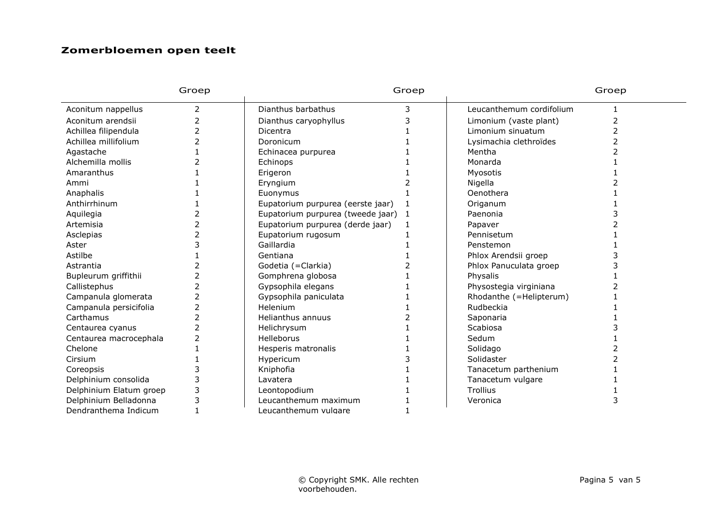## Zomerbloemen open teelt

|                         | Groep          |                                   | Groep |                          | Groep |
|-------------------------|----------------|-----------------------------------|-------|--------------------------|-------|
| Aconitum nappellus      | 2              | Dianthus barbathus                | 3     | Leucanthemum cordifolium |       |
| Aconitum arendsii       | 2              | Dianthus caryophyllus             |       | Limonium (vaste plant)   | 2     |
| Achillea filipendula    | $\overline{2}$ | Dicentra                          |       | Limonium sinuatum        |       |
| Achillea millifolium    |                | Doronicum                         |       | Lysimachia clethroïdes   |       |
| Agastache               |                | Echinacea purpurea                |       | Mentha                   |       |
| Alchemilla mollis       |                | Echinops                          |       | Monarda                  |       |
| Amaranthus              |                | Erigeron                          |       | Myosotis                 |       |
| Ammi                    |                | Eryngium                          |       | Nigella                  |       |
| Anaphalis               |                | Euonymus                          |       | Oenothera                |       |
| Anthirrhinum            |                | Eupatorium purpurea (eerste jaar) |       | Origanum                 |       |
| Aquilegia               |                | Eupatorium purpurea (tweede jaar) | -1    | Paenonia                 |       |
| Artemisia               |                | Eupatorium purpurea (derde jaar)  |       | Papaver                  |       |
| Asclepias               |                | Eupatorium rugosum                |       | Pennisetum               |       |
| Aster                   |                | Gaillardia                        |       | Penstemon                |       |
| Astilbe                 |                | Gentiana                          |       | Phlox Arendsii groep     |       |
| Astrantia               |                | Godetia (=Clarkia)                |       | Phlox Panuculata groep   |       |
| Bupleurum griffithii    | フ              | Gomphrena globosa                 |       | Physalis                 |       |
| Callistephus            |                | Gypsophila elegans                |       | Physostegia virginiana   |       |
| Campanula glomerata     | 2              | Gypsophila paniculata             |       | Rhodanthe (=Helipterum)  |       |
| Campanula persicifolia  | フ              | Helenium                          |       | Rudbeckia                |       |
| Carthamus               | 2              | Helianthus annuus                 |       | Saponaria                |       |
| Centaurea cyanus        | $\overline{2}$ | Helichrysum                       |       | Scabiosa                 |       |
| Centaurea macrocephala  | 2              | Helleborus                        |       | Sedum                    |       |
| Chelone                 |                | Hesperis matronalis               |       | Solidago                 |       |
| Cirsium                 |                | Hypericum                         |       | Solidaster               |       |
| Coreopsis               |                | Kniphofia                         |       | Tanacetum parthenium     |       |
| Delphinium consolida    |                | Lavatera                          |       | Tanacetum vulgare        |       |
| Delphinium Elatum groep | 3              | Leontopodium                      |       | Trollius                 |       |
| Delphinium Belladonna   | 3              | Leucanthemum maximum              |       | Veronica                 | 3     |
| Dendranthema Indicum    |                | Leucanthemum vulgare              |       |                          |       |